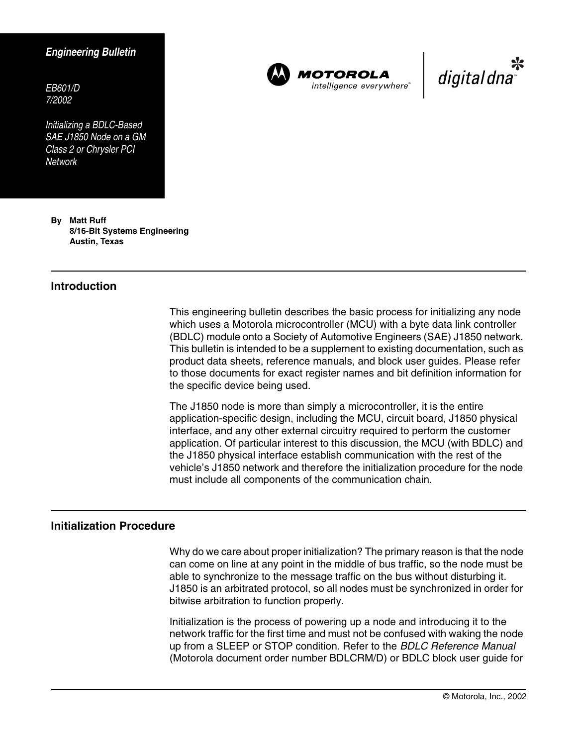# *Engineering Bulletin*

*EB601/D 7/2002*

*Initializing a BDLC-Based SAE J1850 Node on a GM Class 2 or Chrysler PCI Network*

### **By Matt Ruff 8/16-Bit Systems Engineering Austin, Texas**

# **Introduction**

This engineering bulletin describes the basic process for initializing any node which uses a Motorola microcontroller (MCU) with a byte data link controller (BDLC) module onto a Society of Automotive Engineers (SAE) J1850 network. This bulletin is intended to be a supplement to existing documentation, such as product data sheets, reference manuals, and block user guides. Please refer to those documents for exact register names and bit definition information for the specific device being used.

intelligence everywhere

The J1850 node is more than simply a microcontroller, it is the entire application-specific design, including the MCU, circuit board, J1850 physical interface, and any other external circuitry required to perform the customer application. Of particular interest to this discussion, the MCU (with BDLC) and the J1850 physical interface establish communication with the rest of the vehicle's J1850 network and therefore the initialization procedure for the node must include all components of the communication chain.

## **Initialization Procedure**

Why do we care about proper initialization? The primary reason is that the node can come on line at any point in the middle of bus traffic, so the node must be able to synchronize to the message traffic on the bus without disturbing it. J1850 is an arbitrated protocol, so all nodes must be synchronized in order for bitwise arbitration to function properly.

Initialization is the process of powering up a node and introducing it to the network traffic for the first time and must not be confused with waking the node up from a SLEEP or STOP condition. Refer to the *BDLC Reference Manual* (Motorola document order number BDLCRM/D) or BDLC block user guide for



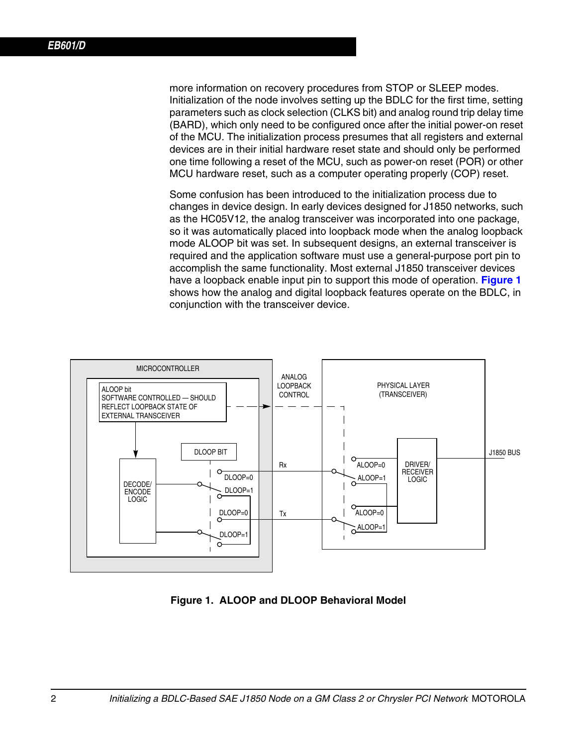more information on recovery procedures from STOP or SLEEP modes. Initialization of the node involves setting up the BDLC for the first time, setting parameters such as clock selection (CLKS bit) and analog round trip delay time (BARD), which only need to be configured once after the initial power-on reset of the MCU. The initialization process presumes that all registers and external devices are in their initial hardware reset state and should only be performed one time following a reset of the MCU, such as power-on reset (POR) or other MCU hardware reset, such as a computer operating properly (COP) reset.

Some confusion has been introduced to the initialization process due to changes in device design. In early devices designed for J1850 networks, such as the HC05V12, the analog transceiver was incorporated into one package, so it was automatically placed into loopback mode when the analog loopback mode ALOOP bit was set. In subsequent designs, an external transceiver is required and the application software must use a general-purpose port pin to accomplish the same functionality. Most external J1850 transceiver devices have a loopback enable input pin to support this mode of operation. **Figure 1** shows how the analog and digital loopback features operate on the BDLC, in conjunction with the transceiver device.



**Figure 1. ALOOP and DLOOP Behavioral Model**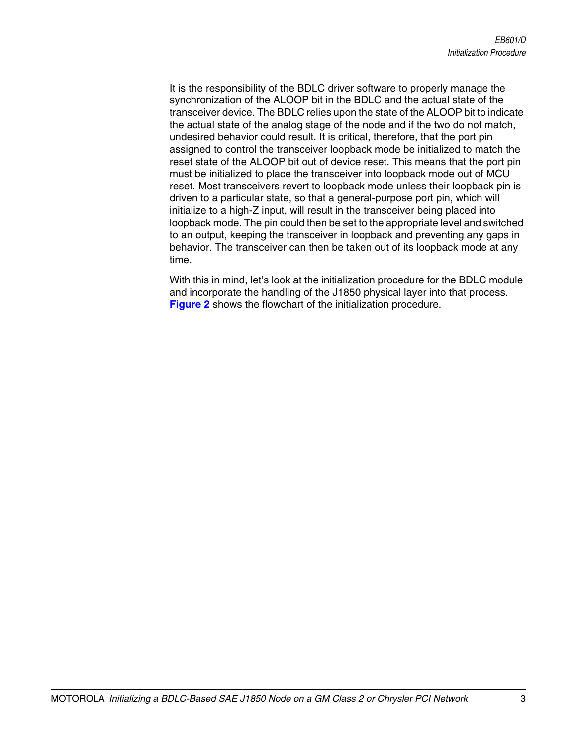It is the responsibility of the BDLC driver software to properly manage the synchronization of the ALOOP bit in the BDLC and the actual state of the transceiver device. The BDLC relies upon the state of the ALOOP bit to indicate the actual state of the analog stage of the node and if the two do not match, undesired behavior could result. It is critical, therefore, that the port pin assigned to control the transceiver loopback mode be initialized to match the reset state of the ALOOP bit out of device reset. This means that the port pin must be initialized to place the transceiver into loopback mode out of MCU reset. Most transceivers revert to loopback mode unless their loopback pin is driven to a particular state, so that a general-purpose port pin, which will initialize to a high-Z input, will result in the transceiver being placed into loopback mode. The pin could then be set to the appropriate level and switched to an output, keeping the transceiver in loopback and preventing any gaps in behavior. The transceiver can then be taken out of its loopback mode at any time.

With this in mind, let's look at the initialization procedure for the BDLC module and incorporate the handling of the J1850 physical layer into that process. **[Figure 2](#page-3-0)** shows the flowchart of the initialization procedure.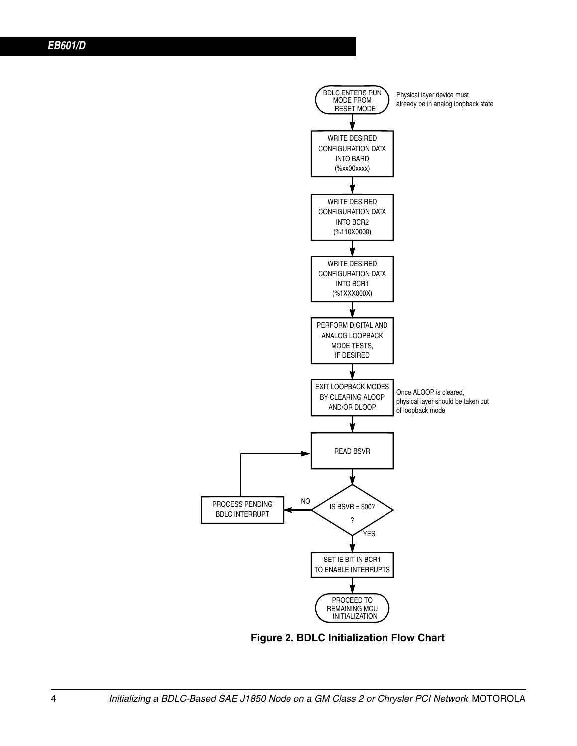<span id="page-3-0"></span>

**Figure 2. BDLC Initialization Flow Chart**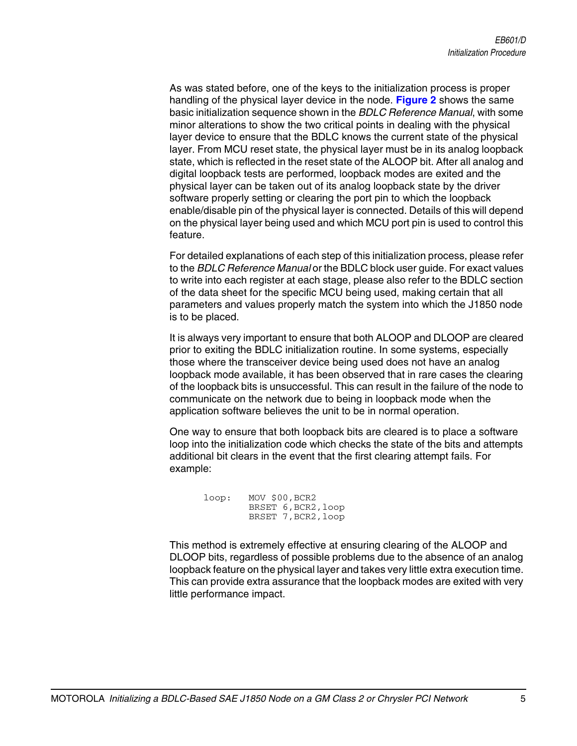As was stated before, one of the keys to the initialization process is proper handling of the physical layer device in the node. **[Figure 2](#page-3-0)** shows the same basic initialization sequence shown in the *BDLC Reference Manual*, with some minor alterations to show the two critical points in dealing with the physical layer device to ensure that the BDLC knows the current state of the physical layer. From MCU reset state, the physical layer must be in its analog loopback state, which is reflected in the reset state of the ALOOP bit. After all analog and digital loopback tests are performed, loopback modes are exited and the physical layer can be taken out of its analog loopback state by the driver software properly setting or clearing the port pin to which the loopback enable/disable pin of the physical layer is connected. Details of this will depend on the physical layer being used and which MCU port pin is used to control this feature.

For detailed explanations of each step of this initialization process, please refer to the *BDLC Reference Manual* or the BDLC block user guide. For exact values to write into each register at each stage, please also refer to the BDLC section of the data sheet for the specific MCU being used, making certain that all parameters and values properly match the system into which the J1850 node is to be placed.

It is always very important to ensure that both ALOOP and DLOOP are cleared prior to exiting the BDLC initialization routine. In some systems, especially those where the transceiver device being used does not have an analog loopback mode available, it has been observed that in rare cases the clearing of the loopback bits is unsuccessful. This can result in the failure of the node to communicate on the network due to being in loopback mode when the application software believes the unit to be in normal operation.

One way to ensure that both loopback bits are cleared is to place a software loop into the initialization code which checks the state of the bits and attempts additional bit clears in the event that the first clearing attempt fails. For example:

loop: MOV \$00,BCR2 BRSET 6,BCR2,loop BRSET 7,BCR2,loop

This method is extremely effective at ensuring clearing of the ALOOP and DLOOP bits, regardless of possible problems due to the absence of an analog loopback feature on the physical layer and takes very little extra execution time. This can provide extra assurance that the loopback modes are exited with very little performance impact.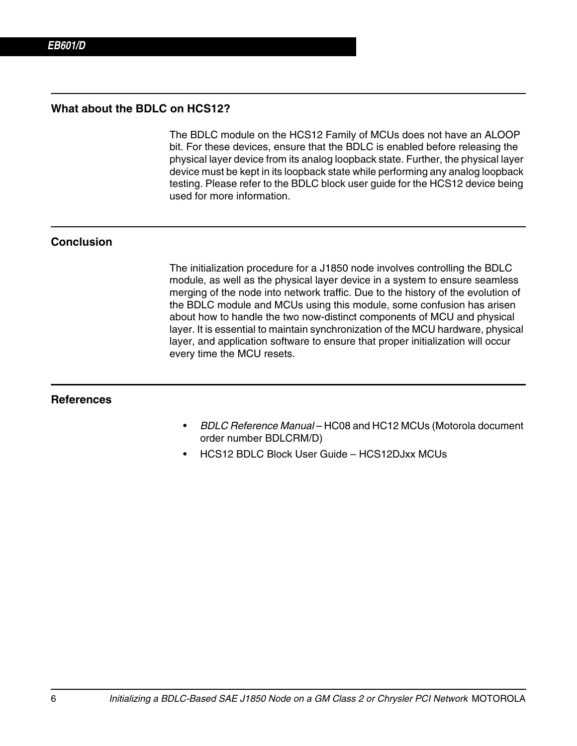## **What about the BDLC on HCS12?**

The BDLC module on the HCS12 Family of MCUs does not have an ALOOP bit. For these devices, ensure that the BDLC is enabled before releasing the physical layer device from its analog loopback state. Further, the physical layer device must be kept in its loopback state while performing any analog loopback testing. Please refer to the BDLC block user guide for the HCS12 device being used for more information.

## **Conclusion**

The initialization procedure for a J1850 node involves controlling the BDLC module, as well as the physical layer device in a system to ensure seamless merging of the node into network traffic. Due to the history of the evolution of the BDLC module and MCUs using this module, some confusion has arisen about how to handle the two now-distinct components of MCU and physical layer. It is essential to maintain synchronization of the MCU hardware, physical layer, and application software to ensure that proper initialization will occur every time the MCU resets.

## **References**

- *BDLC Reference Manual* HC08 and HC12 MCUs (Motorola document order number BDLCRM/D)
- HCS12 BDLC Block User Guide HCS12DJxx MCUs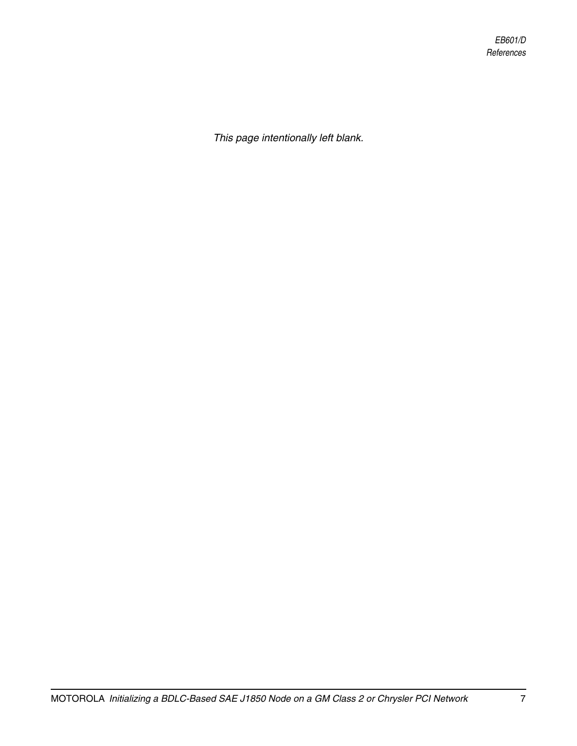*This page intentionally left blank.*